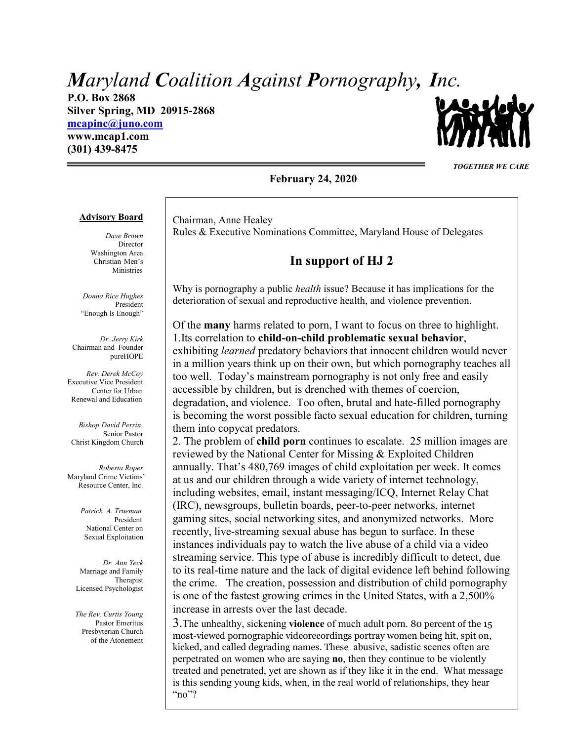# *Maryland Coalition Against Pornography, Inc.*

**P.O. Box 2868 Silver Spring, MD 20915-2868 [mcapinc@juno.com](mailto:mcapinc@juno.com)**

**www.mcap1.com (301) 439-8475**



*TOGETHER WE CARE*

#### **February 24, 2020**

#### **Advisory Board**

*Dave Brown* Director Washington Area Christian Men's Ministries

*Donna Rice Hughes* President "Enough Is Enough"

*Dr. Jerry Kirk* Chairman and Founder pureHOPE

*Rev. Derek McCoy* Executive Vice President Center for Urban Renewal and Education

 *Bishop David Perrin* Senior Pastor Christ Kingdom Church

*Roberta Roper* Maryland Crime Victims' Resource Center, Inc.

> *Patrick A. Trueman* President National Center on Sexual Exploitation

*Dr. Ann Yeck* Marriage and Family Therapist Licensed Psychologist

*The Rev. Curtis Young* Pastor Emeritus Presbyterian Church of the Atonement

Chairman, Anne Healey Rules & Executive Nominations Committee, Maryland House of Delegates

## **In support of HJ 2**

Why is pornography a public *health* issue? Because it has implications for the deterioration of sexual and reproductive health, and violence prevention.

Of the **many** harms related to porn, I want to focus on three to highlight. 1.Its correlation to **child-on-child problematic sexual behavior**, exhibiting *learned* predatory behaviors that innocent children would never in a million years think up on their own, but which pornography teaches all too well. Today's mainstream pornography is not only free and easily accessible by children, but is drenched with themes of coercion, degradation, and violence. Too often, brutal and hate-filled pornography is becoming the worst possible facto sexual education for children, turning them into copycat predators.

2. The problem of **child porn** continues to escalate. 25 million images are reviewed by the National Center for Missing & Exploited Children annually. That's 480,769 images of child exploitation per week. It comes at us and our children through a wide variety of internet technology, including websites, email, instant messaging/ICQ, Internet Relay Chat (IRC), newsgroups, bulletin boards, peer-to-peer networks, internet gaming sites, social networking sites, and anonymized networks. More recently, live-streaming sexual abuse has begun to surface. In these instances individuals pay to watch the live abuse of a child via a video streaming service. This type of abuse is incredibly difficult to detect, due to its real-time nature and the lack of digital evidence left behind following the crime. The creation, possession and distribution of child pornography is one of the fastest growing crimes in the United States, with a 2,500% increase in arrests over the last decade.

3.The unhealthy, sickening **violence** of much adult porn. 80 percent of the 15 most-viewed pornographic videorecordings portray women being hit, spit on, kicked, and called degrading names. These abusive, sadistic scenes often are perpetrated on women who are saying **no**, then they continue to be violently treated and penetrated, yet are shown as if they like it in the end. What message is this sending young kids, when, in the real world of relationships, they hear "no"?